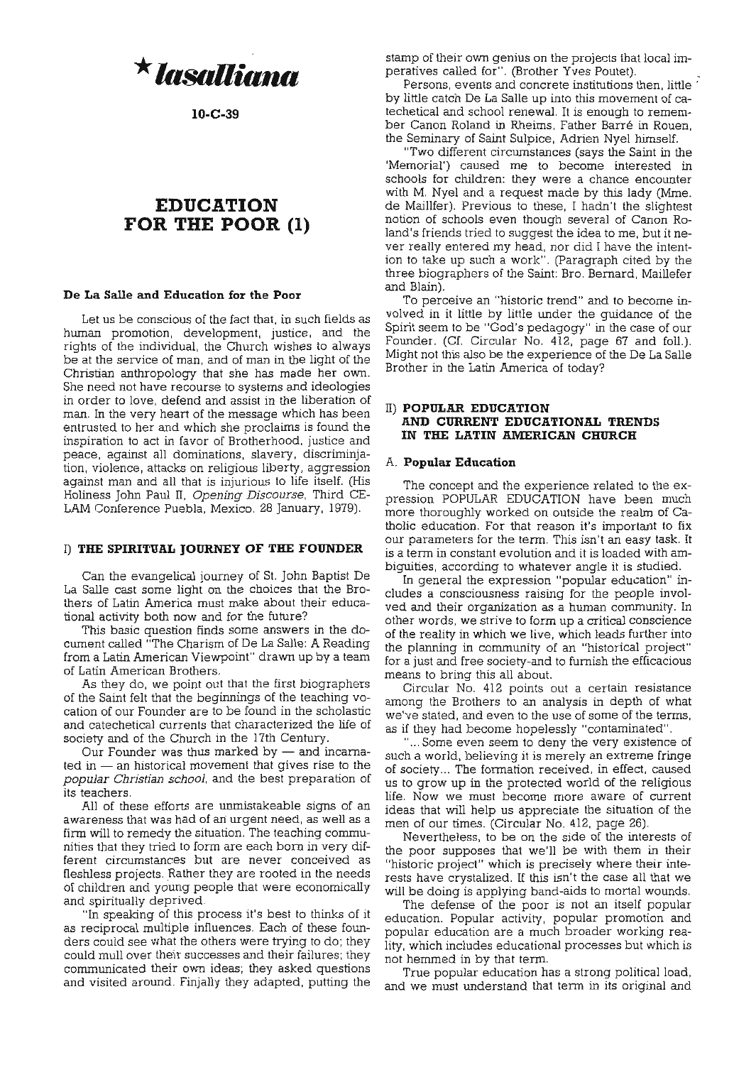

**1O-C-39**

# **EDUCATION FOR THE POOR (1)**

# **De La Salle and Education for the Poor**

Let us be conscious of the fact that, in such fields as human promotion, development, justice, and the rights of the individual, the Church wishes to always be at the service of man, and of man in the light of the Christian anthropology that she has made her own. She need not have recourse to systems and ideologies in order to love, defend and assist in the liberation of man. In the very heart of the message which has been entrusted to her and which she proclaims is found the inspiration to act in favor of Brotherhood, justice and peace, against all dominations, slavery, discriminjation, violence, attacks on religious liberty, aggression against man and all that is injurious to life itself. (His Holiness John Paul II, *Opening Discourse,* Third CE-LAM Conference Puebla, Mexico. 28 January, 1979).

#### I) **THE SPIRITUAL JOURNEY OF THE FOUNDER**

Can the evangelical journey of St. John Baptist De La Salle cast some light on the choices that the Brothers of Latin America must make about their educational activity both now and for the future?

This basic question finds some answers in the document called "The Charism of De La Salle: A Reading from a Latin American Viewpoint" drawn up by a team of Latin American Brothers.

As they do, we point out that the first biographers of the Saint felt that the beginnings of the teaching vocation of our Founder are to be found in the scholastic and catechetical currents that characterized the life of society and of the Church in the 17th Century.

Our Founder was thus marked by  $-$  and incarna**ted in - an historical movement that gives rise to the** *popular Christian school,* and the best preparation of **its teachers.**

All of these efforts are unmistakeable signs of an **awareness that was had of an urgent need, as well as a** firm will *to* remedy the situation. The teaching communities that they tried to form are each born in very dif**ferent circumstances but are never conceived as** fleshiess projects. Rather they are rooted in the needs of children and young people that were economically and spiritually deprived.

"In speaking of this process it's best to thinks of it as reciprocal multiple influences. Each of these founders could see what the others were trying to do; they could mull over their successes and their failures; they communicated their own ideas; they asked questions and visited around. Finjally they adapted, putting the stamp of their own genius on the projects that local imperatives called for". (Brother Yves Poutet).

Persons, events and concrete institutions then, little' by little catch De La Salle up into this movement of catechetical and school renewal. It is enough to remember Canon Roland in Rheims, Father Barre in Rouen, the Seminary of Saint Sulpice, Adrien Nyel himself.

"Two different circumstances (says the Saint in the 'Memorial') caused me to become interested in schools for children: they were a chance encounter with M. Nyel and a request made by this lady (Mme. de Maillfer). Previous to these, I hadn't the slightest notion of schools even though several of Canon Roland's friends tried to suggest the idea to me, but it never really entered my head, nor did I have the intention to take up such a work". (paragraph cited by the three biographers of the Saint: Bro. Bernard, Maillefer and Blain).

To perceive an "historic trend" and to become involved in it little by little under the guidance of the Spirit seem to be "God's pedagogy" in the case of our Founder. (Cf. Circular No. 412, page 67 and foll.). Might not this also be the experience of the De La Salle Brother in the Latin America of today?

# II) **POPULAR EDUCATION AND CURRENT EDUCATIONAL TRENDS IN THE LATIN AMERICAN CHURCH**

## A. **Popular Education**

The concept and the experience related to the expression POPULAR EDUCATION have been much more thoroughly worked on outside the realm of Catholic education. For that reason it's important to fix our parameters for the term. This isn't an easy task. It is a term in constant evolution and it is loaded with ambiguities, according to whatever angle it is studied.

In general the expression "popular education" in**cludes a consciousness raising for the people invol**ved and their organization as a human community. In **other words, we strive to form up a critical conscience** of the reality in which we live, which leads further into the planning in community of an "historical project" for a just and free society-and to furnish the efficacious means to bring this all about.

Circular No. 412 points out a certain resistance among the Brothers to an analysis in depth of what we've stated, and even to the use of some of the terms, as if they had become hopelessly "contaminated".

"... Some even seem to deny the very existence of such a world, believing it is merely an extreme fringe of society... The formation received, in effect, caused us to grow up in the protected world of the religious **life. Now we must become more aware of current** ideas that will help us appreciate the situation of the men of our times. (Circular No. 412, page 26).

Nevertheless, to be on the side of the interests of the poor supposes that we'll be with them in their "historic project" which is precisely where their interests have crystalized. If this isn't the case all that we will be doing is applying band-aids to mortal wounds.

The defense of the poor is not an itself popular education. Popular activity, popular promotion and popular education are a much broader working reality, which includes educational processes but which is not hemmed in by that term.

True popular education has a strong political load, and we must understand that term in its original and